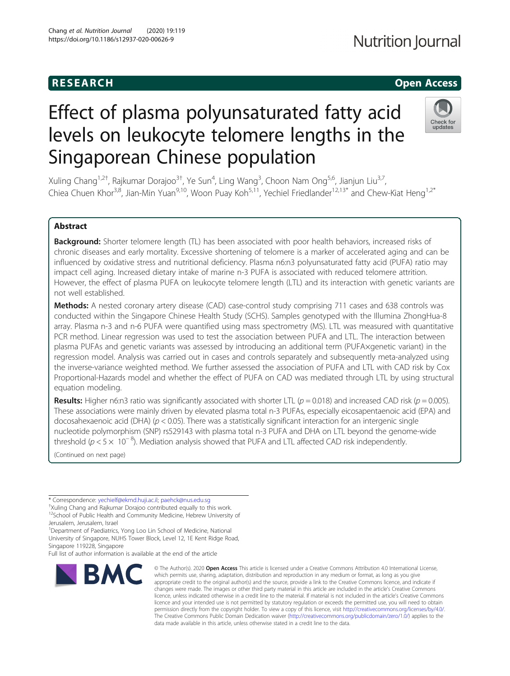## **RESEARCH CHE Open Access**

# Effect of plasma polyunsaturated fatty acid levels on leukocyte telomere lengths in the Singaporean Chinese population



Xuling Chang<sup>1,2†</sup>, Rajkumar Dorajoo<sup>3†</sup>, Ye Sun<sup>4</sup>, Ling Wang<sup>3</sup>, Choon Nam Ong<sup>5,6</sup>, Jianjun Liu<sup>3,7</sup>, Chiea Chuen Khor<sup>3,8</sup>, Jian-Min Yuan<sup>9,10</sup>, Woon Puay Koh<sup>5,11</sup>, Yechiel Friedlander<sup>12,13\*</sup> and Chew-Kiat Heng<sup>1,2\*</sup>

## Abstract

Background: Shorter telomere length (TL) has been associated with poor health behaviors, increased risks of chronic diseases and early mortality. Excessive shortening of telomere is a marker of accelerated aging and can be influenced by oxidative stress and nutritional deficiency. Plasma n6:n3 polyunsaturated fatty acid (PUFA) ratio may impact cell aging. Increased dietary intake of marine n-3 PUFA is associated with reduced telomere attrition. However, the effect of plasma PUFA on leukocyte telomere length (LTL) and its interaction with genetic variants are not well established.

Methods: A nested coronary artery disease (CAD) case-control study comprising 711 cases and 638 controls was conducted within the Singapore Chinese Health Study (SCHS). Samples genotyped with the Illumina ZhongHua-8 array. Plasma n-3 and n-6 PUFA were quantified using mass spectrometry (MS). LTL was measured with quantitative PCR method. Linear regression was used to test the association between PUFA and LTL. The interaction between plasma PUFAs and genetic variants was assessed by introducing an additional term (PUFA×genetic variant) in the regression model. Analysis was carried out in cases and controls separately and subsequently meta-analyzed using the inverse-variance weighted method. We further assessed the association of PUFA and LTL with CAD risk by Cox Proportional-Hazards model and whether the effect of PUFA on CAD was mediated through LTL by using structural equation modeling.

**Results:** Higher n6:n3 ratio was significantly associated with shorter LTL ( $p = 0.018$ ) and increased CAD risk ( $p = 0.005$ ). These associations were mainly driven by elevated plasma total n-3 PUFAs, especially eicosapentaenoic acid (EPA) and docosahexaenoic acid (DHA) ( $p < 0.05$ ). There was a statistically significant interaction for an intergenic single nucleotide polymorphism (SNP) rs529143 with plasma total n-3 PUFA and DHA on LTL beyond the genome-wide threshold ( $p < 5 \times 10^{-8}$ ). Mediation analysis showed that PUFA and LTL affected CAD risk independently.

(Continued on next page)

\* Correspondence: [yechielf@ekmd.huji.ac.il](mailto:yechielf@ekmd.huji.ac.il); [paehck@nus.edu.sg](mailto:paehck@nus.edu.sg) †

<sup>†</sup>Xuling Chang and Rajkumar Dorajoo contributed equally to this work. <sup>12</sup>School of Public Health and Community Medicine, Hebrew University of Jerusalem, Jerusalem, Israel

<sup>1</sup>Department of Paediatrics, Yong Loo Lin School of Medicine, National University of Singapore, NUHS Tower Block, Level 12, 1E Kent Ridge Road, Singapore 119228, Singapore

Full list of author information is available at the end of the article

# **BMC**

© The Author(s), 2020 **Open Access** This article is licensed under a Creative Commons Attribution 4.0 International License, which permits use, sharing, adaptation, distribution and reproduction in any medium or format, as long as you give appropriate credit to the original author(s) and the source, provide a link to the Creative Commons licence, and indicate if changes were made. The images or other third party material in this article are included in the article's Creative Commons licence, unless indicated otherwise in a credit line to the material. If material is not included in the article's Creative Commons licence and your intended use is not permitted by statutory regulation or exceeds the permitted use, you will need to obtain permission directly from the copyright holder. To view a copy of this licence, visit [http://creativecommons.org/licenses/by/4.0/.](http://creativecommons.org/licenses/by/4.0/) The Creative Commons Public Domain Dedication waiver [\(http://creativecommons.org/publicdomain/zero/1.0/](http://creativecommons.org/publicdomain/zero/1.0/)) applies to the data made available in this article, unless otherwise stated in a credit line to the data.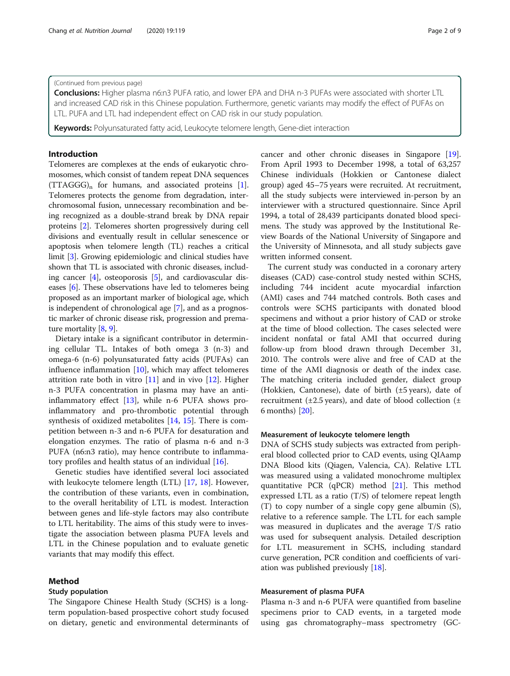## (Continued from previous page)

Conclusions: Higher plasma n6:n3 PUFA ratio, and lower EPA and DHA n-3 PUFAs were associated with shorter LTL and increased CAD risk in this Chinese population. Furthermore, genetic variants may modify the effect of PUFAs on LTL. PUFA and LTL had independent effect on CAD risk in our study population.

**Keywords:** Polyunsaturated fatty acid, Leukocyte telomere length, Gene-diet interaction

## Introduction

Telomeres are complexes at the ends of eukaryotic chromosomes, which consist of tandem repeat DNA sequences  $(TTAGGG)_n$  for humans, and associated proteins [[1](#page-7-0)]. Telomeres protects the genome from degradation, interchromosomal fusion, unnecessary recombination and being recognized as a double-strand break by DNA repair proteins [\[2](#page-7-0)]. Telomeres shorten progressively during cell divisions and eventually result in cellular senescence or apoptosis when telomere length (TL) reaches a critical limit [[3](#page-7-0)]. Growing epidemiologic and clinical studies have shown that TL is associated with chronic diseases, including cancer  $[4]$  $[4]$  $[4]$ , osteoporosis  $[5]$  $[5]$ , and cardiovascular diseases [[6](#page-7-0)]. These observations have led to telomeres being proposed as an important marker of biological age, which is independent of chronological age [[7\]](#page-7-0), and as a prognostic marker of chronic disease risk, progression and premature mortality [[8,](#page-7-0) [9](#page-7-0)].

Dietary intake is a significant contributor in determining cellular TL. Intakes of both omega 3 (n-3) and omega-6 (n-6) polyunsaturated fatty acids (PUFAs) can influence inflammation [[10\]](#page-7-0), which may affect telomeres attrition rate both in vitro [[11\]](#page-7-0) and in vivo [\[12](#page-7-0)]. Higher n-3 PUFA concentration in plasma may have an antiinflammatory effect [\[13\]](#page-7-0), while n-6 PUFA shows proinflammatory and pro-thrombotic potential through synthesis of oxidized metabolites [\[14](#page-7-0), [15](#page-7-0)]. There is competition between n-3 and n-6 PUFA for desaturation and elongation enzymes. The ratio of plasma n-6 and n-3 PUFA (n6:n3 ratio), may hence contribute to inflammatory profiles and health status of an individual [[16\]](#page-7-0).

Genetic studies have identified several loci associated with leukocyte telomere length (LTL) [\[17](#page-7-0), [18](#page-7-0)]. However, the contribution of these variants, even in combination, to the overall heritability of LTL is modest. Interaction between genes and life-style factors may also contribute to LTL heritability. The aims of this study were to investigate the association between plasma PUFA levels and LTL in the Chinese population and to evaluate genetic variants that may modify this effect.

## Method

## Study population

The Singapore Chinese Health Study (SCHS) is a longterm population-based prospective cohort study focused on dietary, genetic and environmental determinants of

cancer and other chronic diseases in Singapore [\[19](#page-7-0)]. From April 1993 to December 1998, a total of 63,257 Chinese individuals (Hokkien or Cantonese dialect group) aged 45–75 years were recruited. At recruitment, all the study subjects were interviewed in-person by an interviewer with a structured questionnaire. Since April 1994, a total of 28,439 participants donated blood specimens. The study was approved by the Institutional Review Boards of the National University of Singapore and the University of Minnesota, and all study subjects gave written informed consent.

The current study was conducted in a coronary artery diseases (CAD) case-control study nested within SCHS, including 744 incident acute myocardial infarction (AMI) cases and 744 matched controls. Both cases and controls were SCHS participants with donated blood specimens and without a prior history of CAD or stroke at the time of blood collection. The cases selected were incident nonfatal or fatal AMI that occurred during follow-up from blood drawn through December 31, 2010. The controls were alive and free of CAD at the time of the AMI diagnosis or death of the index case. The matching criteria included gender, dialect group (Hokkien, Cantonese), date of birth (±5 years), date of recruitment ( $\pm$ 2.5 years), and date of blood collection ( $\pm$ 6 months) [[20\]](#page-7-0).

## Measurement of leukocyte telomere length

DNA of SCHS study subjects was extracted from peripheral blood collected prior to CAD events, using QIAamp DNA Blood kits (Qiagen, Valencia, CA). Relative LTL was measured using a validated monochrome multiplex quantitative PCR (qPCR) method [\[21\]](#page-7-0). This method expressed LTL as a ratio (T/S) of telomere repeat length (T) to copy number of a single copy gene albumin (S), relative to a reference sample. The LTL for each sample was measured in duplicates and the average T/S ratio was used for subsequent analysis. Detailed description for LTL measurement in SCHS, including standard curve generation, PCR condition and coefficients of variation was published previously [\[18](#page-7-0)].

## Measurement of plasma PUFA

Plasma n-3 and n-6 PUFA were quantified from baseline specimens prior to CAD events, in a targeted mode using gas chromatography–mass spectrometry (GC-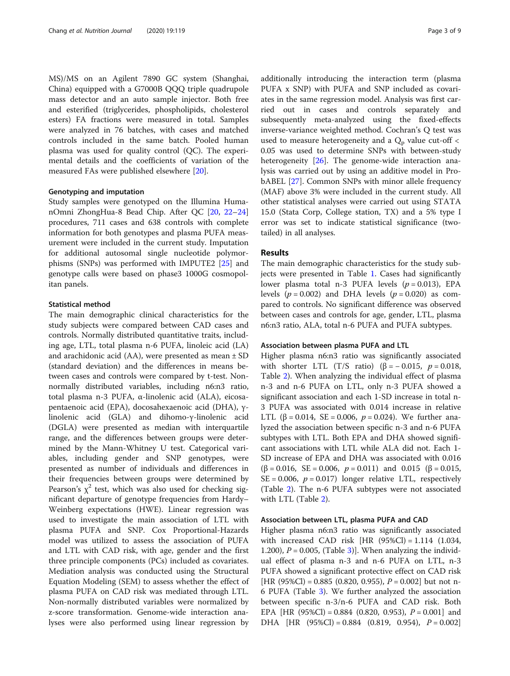MS)/MS on an Agilent 7890 GC system (Shanghai, China) equipped with a G7000B QQQ triple quadrupole mass detector and an auto sample injector. Both free and esterified (triglycerides, phospholipids, cholesterol esters) FA fractions were measured in total. Samples were analyzed in 76 batches, with cases and matched controls included in the same batch. Pooled human plasma was used for quality control (QC). The experimental details and the coefficients of variation of the measured FAs were published elsewhere [\[20](#page-7-0)].

## Genotyping and imputation

Study samples were genotyped on the Illumina HumanOmni ZhongHua-8 Bead Chip. After QC [\[20](#page-7-0), [22](#page-7-0)–[24](#page-7-0)] procedures, 711 cases and 638 controls with complete information for both genotypes and plasma PUFA measurement were included in the current study. Imputation for additional autosomal single nucleotide polymorphisms (SNPs) was performed with IMPUTE2 [[25](#page-7-0)] and genotype calls were based on phase3 1000G cosmopolitan panels.

## Statistical method

The main demographic clinical characteristics for the study subjects were compared between CAD cases and controls. Normally distributed quantitative traits, including age, LTL, total plasma n-6 PUFA, linoleic acid (LA) and arachidonic acid  $(AA)$ , were presented as mean  $\pm$  SD (standard deviation) and the differences in means between cases and controls were compared by t-test. Nonnormally distributed variables, including n6:n3 ratio, total plasma n-3 PUFA, α-linolenic acid (ALA), eicosapentaenoic acid (EPA), docosahexaenoic acid (DHA), γlinolenic acid (GLA) and dihomo-γ-linolenic acid (DGLA) were presented as median with interquartile range, and the differences between groups were determined by the Mann-Whitney U test. Categorical variables, including gender and SNP genotypes, were presented as number of individuals and differences in their frequencies between groups were determined by Pearson's  $\chi^2$  test, which was also used for checking significant departure of genotype frequencies from Hardy– Weinberg expectations (HWE). Linear regression was used to investigate the main association of LTL with plasma PUFA and SNP. Cox Proportional-Hazards model was utilized to assess the association of PUFA and LTL with CAD risk, with age, gender and the first three principle components (PCs) included as covariates. Mediation analysis was conducted using the Structural Equation Modeling (SEM) to assess whether the effect of plasma PUFA on CAD risk was mediated through LTL. Non-normally distributed variables were normalized by z-score transformation. Genome-wide interaction analyses were also performed using linear regression by additionally introducing the interaction term (plasma PUFA x SNP) with PUFA and SNP included as covariates in the same regression model. Analysis was first carried out in cases and controls separately and subsequently meta-analyzed using the fixed-effects inverse-variance weighted method. Cochran's Q test was used to measure heterogeneity and a  $Q_p$  value cut-off < 0.05 was used to determine SNPs with between-study heterogeneity [\[26](#page-7-0)]. The genome-wide interaction analysis was carried out by using an additive model in ProbABEL [\[27\]](#page-7-0). Common SNPs with minor allele frequency (MAF) above 3% were included in the current study. All other statistical analyses were carried out using STATA 15.0 (Stata Corp, College station, TX) and a 5% type I error was set to indicate statistical significance (twotailed) in all analyses.

## Results

The main demographic characteristics for the study subjects were presented in Table [1.](#page-3-0) Cases had significantly lower plasma total n-3 PUFA levels  $(p = 0.013)$ , EPA levels ( $p = 0.002$ ) and DHA levels ( $p = 0.020$ ) as compared to controls. No significant difference was observed between cases and controls for age, gender, LTL, plasma n6:n3 ratio, ALA, total n-6 PUFA and PUFA subtypes.

## Association between plasma PUFA and LTL

Higher plasma n6:n3 ratio was significantly associated with shorter LTL (T/S ratio) ( $\beta$  = -0.015, p = 0.018, Table [2\)](#page-3-0). When analyzing the individual effect of plasma n-3 and n-6 PUFA on LTL, only n-3 PUFA showed a significant association and each 1-SD increase in total n-3 PUFA was associated with 0.014 increase in relative LTL (β = 0.014, SE = 0.006,  $p = 0.024$ ). We further analyzed the association between specific n-3 and n-6 PUFA subtypes with LTL. Both EPA and DHA showed significant associations with LTL while ALA did not. Each 1- SD increase of EPA and DHA was associated with 0.016 ( $\beta$  = 0.016, SE = 0.006,  $p$  = 0.011) and 0.015 ( $\beta$  = 0.015, SE = 0.006,  $p = 0.017$ ) longer relative LTL, respectively (Table [2\)](#page-3-0). The n-6 PUFA subtypes were not associated with LTL (Table [2](#page-3-0)).

## Association between LTL, plasma PUFA and CAD

Higher plasma n6:n3 ratio was significantly associated with increased CAD risk [HR (95%Cl) = 1.114 (1.034, 1.200),  $P = 0.005$ , (Table [3\)](#page-4-0)]. When analyzing the individual effect of plasma n-3 and n-6 PUFA on LTL, n-3 PUFA showed a significant protective effect on CAD risk [HR (95%Cl) = 0.885 (0.820, 0.955),  $P = 0.002$ ] but not n-6 PUFA (Table [3\)](#page-4-0). We further analyzed the association between specific n-3/n-6 PUFA and CAD risk. Both EPA [HR  $(95\%$ Cl] = 0.884  $(0.820, 0.953)$ ,  $P = 0.001$ ] and DHA [HR  $(95\%$ Cl] = 0.884  $(0.819, 0.954)$ ,  $P = 0.002$ ]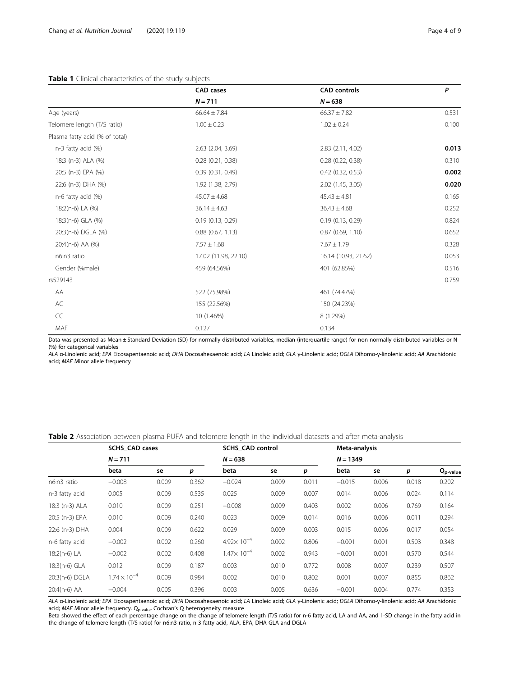## <span id="page-3-0"></span>Table 1 Clinical characteristics of the study subjects

|                                | <b>CAD</b> cases      | <b>CAD</b> controls   | P     |
|--------------------------------|-----------------------|-----------------------|-------|
|                                | $N = 711$             | $N = 638$             |       |
| Age (years)                    | $66.64 \pm 7.84$      | $66.37 \pm 7.82$      | 0.531 |
| Telomere length (T/S ratio)    | $1.00 \pm 0.23$       | $1.02 \pm 0.24$       | 0.100 |
| Plasma fatty acid (% of total) |                       |                       |       |
| n-3 fatty acid (%)             | 2.63 (2.04, 3.69)     | 2.83 (2.11, 4.02)     | 0.013 |
| 18:3 (n-3) ALA (%)             | $0.28$ $(0.21, 0.38)$ | 0.28(0.22, 0.38)      | 0.310 |
| 20:5 (n-3) EPA (%)             | 0.39(0.31, 0.49)      | $0.42$ $(0.32, 0.53)$ | 0.002 |
| 22:6 (n-3) DHA (%)             | 1.92 (1.38, 2.79)     | 2.02 (1.45, 3.05)     | 0.020 |
| n-6 fatty acid (%)             | $45.07 \pm 4.68$      | $45.43 \pm 4.81$      | 0.165 |
| 18:2(n-6) LA (%)               | $36.14 \pm 4.63$      | $36.43 \pm 4.68$      | 0.252 |
| 18:3(n-6) GLA (%)              | 0.19(0.13, 0.29)      | 0.19(0.13, 0.29)      | 0.824 |
| 20:3(n-6) DGLA (%)             | $0.88$ $(0.67, 1.13)$ | 0.87(0.69, 1.10)      | 0.652 |
| 20:4(n-6) AA (%)               | $7.57 \pm 1.68$       | $7.67 \pm 1.79$       | 0.328 |
| n6:n3 ratio                    | 17.02 (11.98, 22.10)  | 16.14 (10.93, 21.62)  | 0.053 |
| Gender (%male)                 | 459 (64.56%)          | 401 (62.85%)          | 0.516 |
| rs529143                       |                       |                       | 0.759 |
| AA                             | 522 (75.98%)          | 461 (74.47%)          |       |
| AC                             | 155 (22.56%)          | 150 (24.23%)          |       |
| CC                             | 10 (1.46%)            | 8 (1.29%)             |       |
| MAF                            | 0.127                 | 0.134                 |       |

Data was presented as Mean ± Standard Deviation (SD) for normally distributed variables, median (interquartile range) for non-normally distributed variables or N (%) for categorical variables

ALA α-Linolenic acid; EPA Eicosapentaenoic acid; DHA Docosahexaenoic acid; LA Linoleic acid; GLA γ-Linolenic acid; DGLA Dihomo-γ-linolenic acid; AA Arachidonic acid; MAF Minor allele frequency

Table 2 Association between plasma PUFA and telomere length in the individual datasets and after meta-analysis

|                | <b>SCHS_CAD cases</b><br>$N = 711$ |       |       |                      | <b>SCHS CAD control</b> |       |            | Meta-analysis |       |               |  |
|----------------|------------------------------------|-------|-------|----------------------|-------------------------|-------|------------|---------------|-------|---------------|--|
|                |                                    |       |       | $N = 638$            |                         |       | $N = 1349$ |               |       |               |  |
|                | beta                               | se    | р     | beta                 | se                      | р     | beta       | se            | р     | $Q_{p-value}$ |  |
| n6:n3 ratio    | $-0.008$                           | 0.009 | 0.362 | $-0.024$             | 0.009                   | 0.011 | $-0.015$   | 0.006         | 0.018 | 0.202         |  |
| n-3 fatty acid | 0.005                              | 0.009 | 0.535 | 0.025                | 0.009                   | 0.007 | 0.014      | 0.006         | 0.024 | 0.114         |  |
| 18:3 (n-3) ALA | 0.010                              | 0.009 | 0.251 | $-0.008$             | 0.009                   | 0.403 | 0.002      | 0.006         | 0.769 | 0.164         |  |
| 20:5 (n-3) EPA | 0.010                              | 0.009 | 0.240 | 0.023                | 0.009                   | 0.014 | 0.016      | 0.006         | 0.011 | 0.294         |  |
| 22:6 (n-3) DHA | 0.004                              | 0.009 | 0.622 | 0.029                | 0.009                   | 0.003 | 0.015      | 0.006         | 0.017 | 0.054         |  |
| n-6 fatty acid | $-0.002$                           | 0.002 | 0.260 | $4.92\times 10^{-4}$ | 0.002                   | 0.806 | $-0.001$   | 0.001         | 0.503 | 0.348         |  |
| 18:2(n-6) LA   | $-0.002$                           | 0.002 | 0.408 | $1.47\times 10^{-4}$ | 0.002                   | 0.943 | $-0.001$   | 0.001         | 0.570 | 0.544         |  |
| 18:3(n-6) GLA  | 0.012                              | 0.009 | 0.187 | 0.003                | 0.010                   | 0.772 | 0.008      | 0.007         | 0.239 | 0.507         |  |
| 20:3(n-6) DGLA | $1.74 \times 10^{-4}$              | 0.009 | 0.984 | 0.002                | 0.010                   | 0.802 | 0.001      | 0.007         | 0.855 | 0.862         |  |
| 20:4(n-6) AA   | $-0.004$                           | 0.005 | 0.396 | 0.003                | 0.005                   | 0.636 | $-0.001$   | 0.004         | 0.774 | 0.353         |  |

ALA α-Linolenic acid; EPA Eicosapentaenoic acid; DHA Docosahexaenoic acid; LA Linoleic acid; GLA γ-Linolenic acid; DGLA Dihomo-γ-linolenic acid; AA Arachidonic acid; MAF Minor allele frequency.  $Q_{p-value}$  Cochran's Q heterogeneity measure

Beta showed the effect of each percentage change on the change of telomere length (T/S ratio) for n-6 fatty acid, LA and AA, and 1-SD change in the fatty acid in the change of telomere length (T/S ratio) for n6:n3 ratio, n-3 fatty acid, ALA, EPA, DHA GLA and DGLA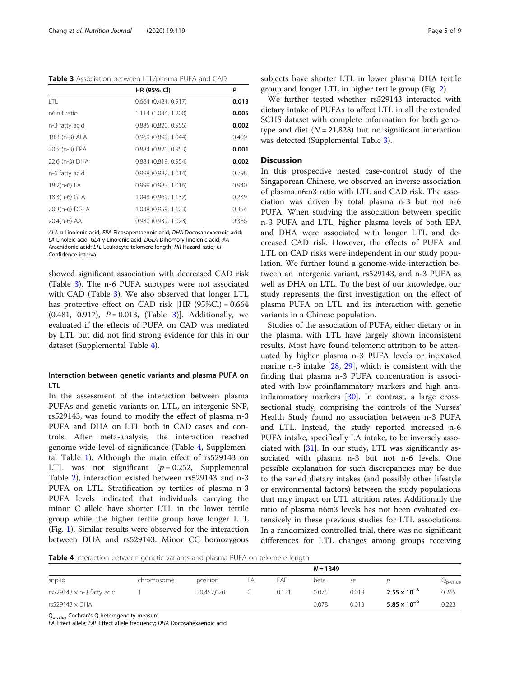<span id="page-4-0"></span>Table 3 Association between LTL/plasma PUFA and CAD

|                | HR (95% CI)            | P     |
|----------------|------------------------|-------|
| I TI           | $0.664$ (0.481, 0.917) | 0.013 |
| n6:n3 ratio    | 1.114 (1.034, 1.200)   | 0.005 |
| n-3 fatty acid | $0.885$ (0.820, 0.955) | 0.002 |
| 18:3 (n-3) ALA | 0.969 (0.899, 1.044)   | 0.409 |
| 20:5 (n-3) EPA | 0.884 (0.820, 0.953)   | 0.001 |
| 22:6 (n-3) DHA | 0.884 (0.819, 0.954)   | 0.002 |
| n-6 fatty acid | 0.998 (0.982, 1.014)   | 0.798 |
| 18:2(n-6) LA   | 0.999(0.983, 1.016)    | 0.940 |
| 18:3(n-6) GLA  | 1.048 (0.969, 1.132)   | 0.239 |
| 20:3(n-6) DGLA | 1.038 (0.959, 1.123)   | 0.354 |
| 20:4(n-6) AA   | 0.980 (0.939, 1.023)   | 0.366 |

ALA α-Linolenic acid; EPA Eicosapentaenoic acid; DHA Docosahexaenoic acid; LA Linoleic acid; GLA γ-Linolenic acid; DGLA Dihomo-γ-linolenic acid; AA Arachidonic acid; LTL Leukocyte telomere length; HR Hazard ratio; Cl Confidence interval

showed significant association with decreased CAD risk (Table 3). The n-6 PUFA subtypes were not associated with CAD (Table 3). We also observed that longer LTL has protective effect on CAD risk  $[HR (95\%CI) = 0.664]$ (0.481, 0.917),  $P = 0.013$ , (Table 3). Additionally, we evaluated if the effects of PUFA on CAD was mediated by LTL but did not find strong evidence for this in our dataset (Supplemental Table [4\)](#page-6-0).

## Interaction between genetic variants and plasma PUFA on LTL

In the assessment of the interaction between plasma PUFAs and genetic variants on LTL, an intergenic SNP, rs529143, was found to modify the effect of plasma n-3 PUFA and DHA on LTL both in CAD cases and controls. After meta-analysis, the interaction reached genome-wide level of significance (Table 4, Supplemental Table [1\)](#page-6-0). Although the main effect of rs529143 on LTL was not significant  $(p = 0.252,$  Supplemental Table [2\)](#page-6-0), interaction existed between rs529143 and n-3 PUFA on LTL. Stratification by tertiles of plasma n-3 PUFA levels indicated that individuals carrying the minor C allele have shorter LTL in the lower tertile group while the higher tertile group have longer LTL (Fig. [1\)](#page-5-0). Similar results were observed for the interaction between DHA and rs529143. Minor CC homozygous subjects have shorter LTL in lower plasma DHA tertile group and longer LTL in higher tertile group (Fig. [2](#page-5-0)).

We further tested whether rs529143 interacted with dietary intake of PUFAs to affect LTL in all the extended SCHS dataset with complete information for both genotype and diet ( $N = 21,828$ ) but no significant interaction was detected (Supplemental Table [3\)](#page-6-0).

## **Discussion**

In this prospective nested case-control study of the Singaporean Chinese, we observed an inverse association of plasma n6:n3 ratio with LTL and CAD risk. The association was driven by total plasma n-3 but not n-6 PUFA. When studying the association between specific n-3 PUFA and LTL, higher plasma levels of both EPA and DHA were associated with longer LTL and decreased CAD risk. However, the effects of PUFA and LTL on CAD risks were independent in our study population. We further found a genome-wide interaction between an intergenic variant, rs529143, and n-3 PUFA as well as DHA on LTL. To the best of our knowledge, our study represents the first investigation on the effect of plasma PUFA on LTL and its interaction with genetic variants in a Chinese population.

Studies of the association of PUFA, either dietary or in the plasma, with LTL have largely shown inconsistent results. Most have found telomeric attrition to be attenuated by higher plasma n-3 PUFA levels or increased marine n-3 intake [\[28](#page-7-0), [29\]](#page-7-0), which is consistent with the finding that plasma n-3 PUFA concentration is associated with low proinflammatory markers and high antiinflammatory markers [[30\]](#page-7-0). In contrast, a large crosssectional study, comprising the controls of the Nurses' Health Study found no association between n-3 PUFA and LTL. Instead, the study reported increased n-6 PUFA intake, specifically LA intake, to be inversely associated with  $[31]$  $[31]$ . In our study, LTL was significantly associated with plasma n-3 but not n-6 levels. One possible explanation for such discrepancies may be due to the varied dietary intakes (and possibly other lifestyle or environmental factors) between the study populations that may impact on LTL attrition rates. Additionally the ratio of plasma n6:n3 levels has not been evaluated extensively in these previous studies for LTL associations. In a randomized controlled trial, there was no significant differences for LTL changes among groups receiving

Table 4 Interaction between genetic variants and plasma PUFA on telomere length

|                                  |            |            |    |       | $N = 1349$ |       |                       |          |
|----------------------------------|------------|------------|----|-------|------------|-------|-----------------------|----------|
| snp-id                           | chromosome | position   | ΕA | EAF   | beta       | se    |                       | Qp-value |
| rs529143 $\times$ n-3 fatty acid |            | 20,452,020 |    | 0.131 | 0.075      | 0.013 | $2.55 \times 10^{-8}$ | 0.265    |
| rs529143 $\times$ DHA            |            |            |    |       | 0.078      | 0.013 | $5.85 \times 10^{-9}$ | 0.223    |

Qp-value Cochran's Q heterogeneity measure

EA Effect allele; EAF Effect allele frequency; DHA Docosahexaenoic acid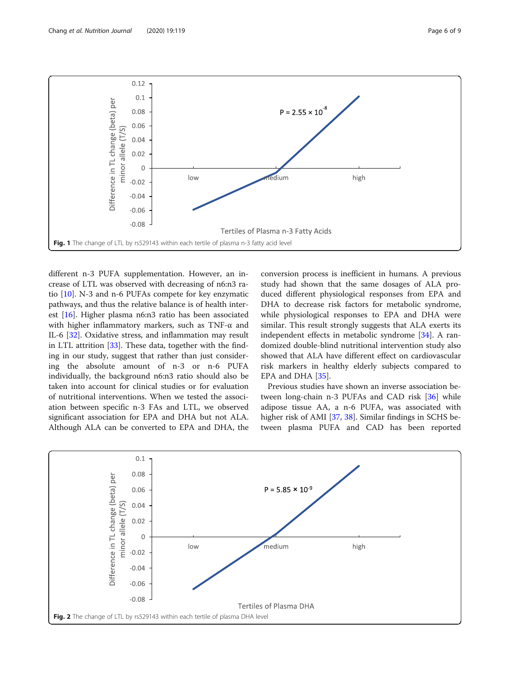<span id="page-5-0"></span>

different n-3 PUFA supplementation. However, an increase of LTL was observed with decreasing of n6:n3 ratio [\[10\]](#page-7-0). N-3 and n-6 PUFAs compete for key enzymatic pathways, and thus the relative balance is of health interest [\[16\]](#page-7-0). Higher plasma n6:n3 ratio has been associated with higher inflammatory markers, such as TNF-α and IL-6 [[32](#page-7-0)]. Oxidative stress, and inflammation may result in LTL attrition [\[33\]](#page-7-0). These data, together with the finding in our study, suggest that rather than just considering the absolute amount of n-3 or n-6 PUFA individually, the background n6:n3 ratio should also be taken into account for clinical studies or for evaluation of nutritional interventions. When we tested the association between specific n-3 FAs and LTL, we observed significant association for EPA and DHA but not ALA. Although ALA can be converted to EPA and DHA, the conversion process is inefficient in humans. A previous study had shown that the same dosages of ALA produced different physiological responses from EPA and DHA to decrease risk factors for metabolic syndrome, while physiological responses to EPA and DHA were similar. This result strongly suggests that ALA exerts its independent effects in metabolic syndrome [[34\]](#page-7-0). A randomized double-blind nutritional intervention study also showed that ALA have different effect on cardiovascular risk markers in healthy elderly subjects compared to EPA and DHA [\[35](#page-7-0)].

Previous studies have shown an inverse association between long-chain n-3 PUFAs and CAD risk [[36](#page-7-0)] while adipose tissue AA, a n-6 PUFA, was associated with higher risk of AMI [[37](#page-7-0), [38](#page-7-0)]. Similar findings in SCHS between plasma PUFA and CAD has been reported

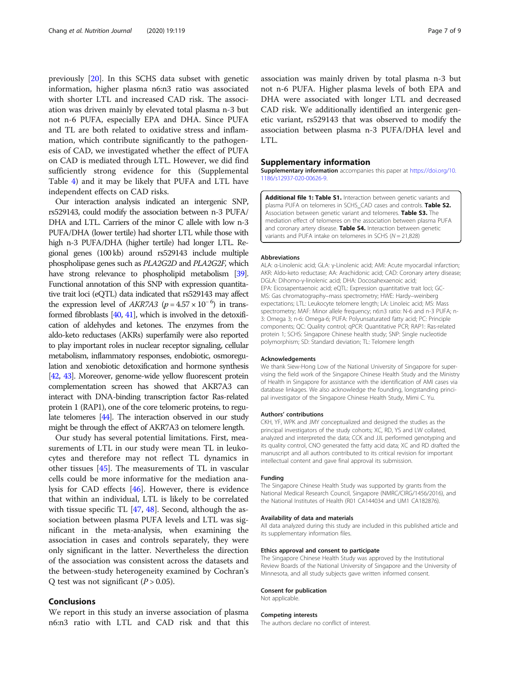<span id="page-6-0"></span>previously [[20\]](#page-7-0). In this SCHS data subset with genetic information, higher plasma n6:n3 ratio was associated with shorter LTL and increased CAD risk. The association was driven mainly by elevated total plasma n-3 but not n-6 PUFA, especially EPA and DHA. Since PUFA and TL are both related to oxidative stress and inflammation, which contribute significantly to the pathogenesis of CAD, we investigated whether the effect of PUFA on CAD is mediated through LTL. However, we did find sufficiently strong evidence for this (Supplemental Table 4) and it may be likely that PUFA and LTL have independent effects on CAD risks.

Our interaction analysis indicated an intergenic SNP, rs529143, could modify the association between n-3 PUFA/ DHA and LTL. Carriers of the minor C allele with low n-3 PUFA/DHA (lower tertile) had shorter LTL while those with high n-3 PUFA/DHA (higher tertile) had longer LTL. Regional genes (100 kb) around rs529143 include multiple phospholipase genes such as PLA2G2D and PLA2G2F, which have strong relevance to phospholipid metabolism [\[39\]](#page-7-0). Functional annotation of this SNP with expression quantitative trait loci (eQTL) data indicated that rs529143 may affect the expression level of *AKR7A3* ( $p = 4.57 \times 10^{-6}$ ) in transformed fibroblasts  $[40, 41]$  $[40, 41]$  $[40, 41]$ , which is involved in the detoxification of aldehydes and ketones. The enzymes from the aldo-keto reductases (AKRs) superfamily were also reported to play important roles in nuclear receptor signaling, cellular metabolism, inflammatory responses, endobiotic, osmoregulation and xenobiotic detoxification and hormone synthesis [[42,](#page-7-0) [43](#page-7-0)]. Moreover, genome-wide yellow fluorescent protein complementation screen has showed that AKR7A3 can interact with DNA-binding transcription factor Ras-related protein 1 (RAP1), one of the core telomeric proteins, to regulate telomeres [[44\]](#page-7-0). The interaction observed in our study might be through the effect of AKR7A3 on telomere length.

Our study has several potential limitations. First, measurements of LTL in our study were mean TL in leukocytes and therefore may not reflect TL dynamics in other tissues [[45\]](#page-7-0). The measurements of TL in vascular cells could be more informative for the mediation analysis for CAD effects [[46\]](#page-7-0). However, there is evidence that within an individual, LTL is likely to be correlated with tissue specific TL [[47](#page-8-0), [48](#page-8-0)]. Second, although the association between plasma PUFA levels and LTL was significant in the meta-analysis, when examining the association in cases and controls separately, they were only significant in the latter. Nevertheless the direction of the association was consistent across the datasets and the between-study heterogeneity examined by Cochran's Q test was not significant  $(P > 0.05)$ .

## Conclusions

We report in this study an inverse association of plasma n6:n3 ratio with LTL and CAD risk and that this

association was mainly driven by total plasma n-3 but not n-6 PUFA. Higher plasma levels of both EPA and DHA were associated with longer LTL and decreased CAD risk. We additionally identified an intergenic genetic variant, rs529143 that was observed to modify the association between plasma n-3 PUFA/DHA level and LTL.

## Supplementary information

Supplementary information accompanies this paper at [https://doi.org/10.](https://doi.org/10.1186/s12937-020-00626-9) [1186/s12937-020-00626-9](https://doi.org/10.1186/s12937-020-00626-9).

Additional file 1: Table S1. Interaction between genetic variants and plasma PUFA on telomeres in SCHS\_CAD cases and controls. Table S2. Association between genetic variant and telomeres. Table S3. The mediation effect of telomeres on the association between plasma PUFA and coronary artery disease. Table S4. Interaction between genetic variants and PUFA intake on telomeres in SCHS ( $N = 21,828$ )

#### Abbreviations

ALA: α-Linolenic acid; GLA: γ-Linolenic acid; AMI: Acute myocardial infarction; AKR: Aldo-keto reductase; AA: Arachidonic acid; CAD: Coronary artery disease; DGLA: Dihomo-γ-linolenic acid; DHA: Docosahexaenoic acid; EPA: Eicosapentaenoic acid; eQTL: Expression quantitative trait loci; GC-MS: Gas chromatography–mass spectrometry; HWE: Hardy–weinberg expectations; LTL: Leukocyte telomere length; LA: Linoleic acid; MS: Mass spectrometry; MAF: Minor allele frequency; n6:n3 ratio: N-6 and n-3 PUFA; n-3: Omega 3; n-6: Omega-6; PUFA: Polyunsaturated fatty acid; PC: Principle components; QC: Quality control; qPCR: Quantitative PCR; RAP1: Ras-related protein 1; SCHS: Singapore Chinese health study; SNP: Single nucleotide polymorphism; SD: Standard deviation; TL: Telomere length

#### Acknowledgements

We thank Siew-Hong Low of the National University of Singapore for supervising the field work of the Singapore Chinese Health Study and the Ministry of Health in Singapore for assistance with the identification of AMI cases via database linkages. We also acknowledge the founding, longstanding principal investigator of the Singapore Chinese Health Study, Mimi C. Yu.

### Authors' contributions

CKH, YF, WPK and JMY conceptualized and designed the studies as the principal investigators of the study cohorts; XC, RD, YS and LW collated, analyzed and interpreted the data; CCK and JJL performed genotyping and its quality control, CNO generated the fatty acid data; XC and RD drafted the manuscript and all authors contributed to its critical revision for important intellectual content and gave final approval its submission.

#### Funding

The Singapore Chinese Health Study was supported by grants from the National Medical Research Council, Singapore (NMRC/CIRG/1456/2016), and the National Institutes of Health (R01 CA144034 and UM1 CA182876).

#### Availability of data and materials

All data analyzed during this study are included in this published article and its supplementary information files.

## Ethics approval and consent to participate

The Singapore Chinese Health Study was approved by the Institutional Review Boards of the National University of Singapore and the University of Minnesota, and all study subjects gave written informed consent.

## Consent for publication

Not applicable.

## Competing interests

The authors declare no conflict of interest.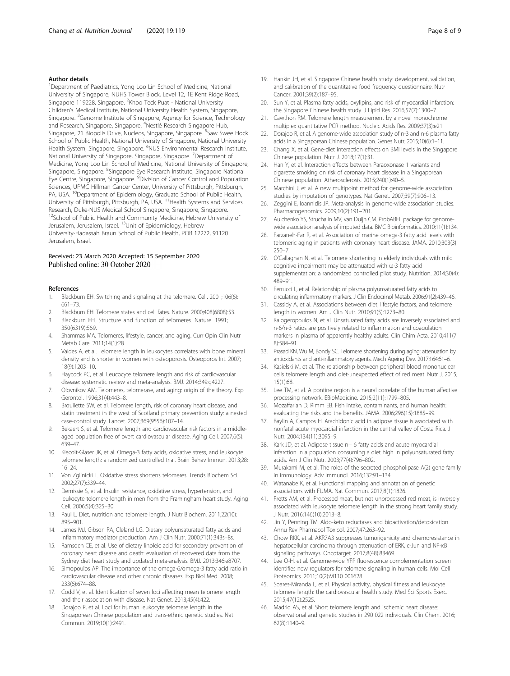## <span id="page-7-0"></span>Author details

<sup>1</sup>Department of Paediatrics, Yong Loo Lin School of Medicine, National University of Singapore, NUHS Tower Block, Level 12, 1E Kent Ridge Road, Singapore 119228, Singapore. <sup>2</sup>Khoo Teck Puat - National University Children's Medical Institute, National University Health System, Singapore, Singapore. <sup>3</sup>Genome Institute of Singapore, Agency for Science, Technology and Research, Singapore, Singapore. <sup>4</sup>Nestlé Research Singapore Hub, Singapore, 21 Biopolis Drive, Nucleos, Singapore, Singapore. <sup>5</sup>Saw Swee Hock School of Public Health, National University of Singapore, National University Health System, Singapore, Singapore. <sup>6</sup>NUS Environmental Research Institute, National University of Singapore, Singapore, Singapore. <sup>7</sup>Department of Medicine, Yong Loo Lin School of Medicine, National University of Singapore, Singapore, Singapore. <sup>8</sup>Singapore Eye Research Institute, Singapore National Eye Centre, Singapore, Singapore. <sup>9</sup> Division of Cancer Control and Population Sciences, UPMC Hillman Cancer Center, University of Pittsburgh, Pittsburgh, PA, USA. <sup>10</sup>Department of Epidemiology, Graduate School of Public Health, University of Pittsburgh, Pittsburgh, PA, USA. <sup>11</sup>Health Systems and Services Research, Duke-NUS Medical School Singapore, Singapore, Singapore. <sup>12</sup>School of Public Health and Community Medicine, Hebrew University of Jerusalem, Jerusalem, Israel. 13Unit of Epidemiology, Hebrew University-Hadassah Braun School of Public Health, POB 12272, 91120 Jerusalem, Israel.

## Received: 23 March 2020 Accepted: 15 September 2020 Published online: 30 October 2020

## References

- 1. Blackburn EH. Switching and signaling at the telomere. Cell. 2001;106(6): 661–73.
- 2. Blackburn EH. Telomere states and cell fates. Nature. 2000;408(6808):53.
- 3. Blackburn EH. Structure and function of telomeres. Nature. 1991; 350(6319):569.
- 4. Shammas MA. Telomeres, lifestyle, cancer, and aging. Curr Opin Clin Nutr Metab Care. 2011;14(1):28.
- 5. Valdes A, et al. Telomere length in leukocytes correlates with bone mineral density and is shorter in women with osteoporosis. Osteoporos Int. 2007; 18(9):1203–10.
- 6. Haycock PC, et al. Leucocyte telomere length and risk of cardiovascular disease: systematic review and meta-analysis. BMJ. 2014;349:g4227.
- 7. Olovnikov AM. Telomeres, telomerase, and aging: origin of the theory. Exp Gerontol. 1996;31(4):443–8.
- 8. Brouilette SW, et al. Telomere length, risk of coronary heart disease, and statin treatment in the west of Scotland primary prevention study: a nested case-control study. Lancet. 2007;369(9556):107–14.
- 9. Bekaert S, et al. Telomere length and cardiovascular risk factors in a middleaged population free of overt cardiovascular disease. Aging Cell. 2007;6(5): 639–47.
- 10. Kiecolt-Glaser JK, et al. Omega-3 fatty acids, oxidative stress, and leukocyte telomere length: a randomized controlled trial. Brain Behav Immun. 2013;28: 16–24.
- 11. Von Zglinicki T. Oxidative stress shortens telomeres. Trends Biochem Sci. 2002;27(7):339–44.
- 12. Demissie S, et al. Insulin resistance, oxidative stress, hypertension, and leukocyte telomere length in men from the Framingham heart study. Aging Cell. 2006;5(4):325–30.
- 13. Paul L. Diet, nutrition and telomere length. J Nutr Biochem. 2011;22(10): 895–901.
- 14. James MJ, Gibson RA, Cleland LG. Dietary polyunsaturated fatty acids and inflammatory mediator production. Am J Clin Nutr. 2000;71(1):343s–8s.
- 15. Ramsden CE, et al. Use of dietary linoleic acid for secondary prevention of coronary heart disease and death: evaluation of recovered data from the Sydney diet heart study and updated meta-analysis. BMJ. 2013;346:e8707.
- 16. Simopoulos AP. The importance of the omega-6/omega-3 fatty acid ratio in cardiovascular disease and other chronic diseases. Exp Biol Med. 2008; 233(6):674–88.
- 17. Codd V, et al. Identification of seven loci affecting mean telomere length and their association with disease. Nat Genet. 2013;45(4):422.
- 18. Dorajoo R, et al. Loci for human leukocyte telomere length in the Singaporean Chinese population and trans-ethnic genetic studies. Nat Commun. 2019;10(1):2491.
- 19. Hankin JH, et al. Singapore Chinese health study: development, validation, and calibration of the quantitative food frequency questionnaire. Nutr Cancer. 2001;39(2):187–95.
- 20. Sun Y, et al. Plasma fatty acids, oxylipins, and risk of myocardial infarction: the Singapore Chinese health study. J Lipid Res. 2016;57(7):1300–7.
- 21. Cawthon RM. Telomere length measurement by a novel monochrome multiplex quantitative PCR method. Nucleic Acids Res. 2009;37(3):e21.
- 22. Dorajoo R, et al. A genome-wide association study of n-3 and n-6 plasma fatty acids in a Singaporean Chinese population. Genes Nutr. 2015;10(6):1–11.
- 23. Chang X, et al. Gene-diet interaction effects on BMI levels in the Singapore Chinese population. Nutr J. 2018;17(1):31.
- 24. Han Y, et al. Interaction effects between Paraoxonase 1 variants and cigarette smoking on risk of coronary heart disease in a Singaporean Chinese population. Atherosclerosis. 2015;240(1):40–5.
- 25. Marchini J, et al. A new multipoint method for genome-wide association studies by imputation of genotypes. Nat Genet. 2007;39(7):906–13.
- 26. Zeggini E, Ioannidis JP. Meta-analysis in genome-wide association studies. Pharmacogenomics. 2009;10(2):191–201.
- 27. Aulchenko YS, Struchalin MV, van Duijn CM. ProbABEL package for genomewide association analysis of imputed data. BMC Bioinformatics. 2010;11(1):134.
- 28. Farzaneh-Far R, et al. Association of marine omega-3 fatty acid levels with telomeric aging in patients with coronary heart disease. JAMA. 2010;303(3): 250–7.
- 29. O'Callaghan N, et al. Telomere shortening in elderly individuals with mild cognitive impairment may be attenuated with ω-3 fatty acid supplementation: a randomized controlled pilot study. Nutrition. 2014;30(4): 489–91.
- 30. Ferrucci L, et al. Relationship of plasma polyunsaturated fatty acids to circulating inflammatory markers. J Clin Endocrinol Metab. 2006;91(2):439–46.
- 31. Cassidy A, et al. Associations between diet, lifestyle factors, and telomere length in women. Am J Clin Nutr. 2010;91(5):1273–80.
- 32. Kalogeropoulos N, et al. Unsaturated fatty acids are inversely associated and n-6/n-3 ratios are positively related to inflammation and coagulation markers in plasma of apparently healthy adults. Clin Chim Acta. 2010;411(7– 8):584–91.
- 33. Prasad KN, Wu M, Bondy SC. Telomere shortening during aging: attenuation by antioxidants and anti-inflammatory agents. Mech Ageing Dev. 2017;164:61–6.
- 34. Kasielski M, et al. The relationship between peripheral blood mononuclear cells telomere length and diet-unexpected effect of red meat. Nutr J. 2015; 15(1):68.
- 35. Lee TM, et al. A pontine region is a neural correlate of the human affective processing network. EBioMedicine. 2015;2(11):1799–805.
- Mozaffarian D, Rimm EB. Fish intake, contaminants, and human health: evaluating the risks and the benefits. JAMA. 2006;296(15):1885–99.
- 37. Baylin A, Campos H. Arachidonic acid in adipose tissue is associated with nonfatal acute myocardial infarction in the central valley of Costa Rica. J Nutr. 2004;134(11):3095–9.
- 38. Kark JD, et al. Adipose tissue n− 6 fatty acids and acute myocardial infarction in a population consuming a diet high in polyunsaturated fatty acids. Am J Clin Nutr. 2003;77(4):796–802.
- 39. Murakami M, et al. The roles of the secreted phospholipase A(2) gene family in immunology. Adv Immunol. 2016;132:91–134.
- 40. Watanabe K, et al. Functional mapping and annotation of genetic associations with FUMA. Nat Commun. 2017;8(1):1826.
- 41. Fretts AM, et al. Processed meat, but not unprocessed red meat, is inversely associated with leukocyte telomere length in the strong heart family study. J Nutr. 2016;146(10):2013–8.
- 42. Jin Y, Penning TM. Aldo-keto reductases and bioactivation/detoxication. Annu Rev Pharmacol Toxicol. 2007;47:263–92.
- 43. Chow RKK, et al. AKR7A3 suppresses tumorigenicity and chemoresistance in hepatocellular carcinoma through attenuation of ERK, c-Jun and NF-κB signaling pathways. Oncotarget. 2017;8(48):83469.
- 44. Lee O-H, et al. Genome-wide YFP fluorescence complementation screen identifies new regulators for telomere signaling in human cells. Mol Cell Proteomics. 2011;10(2):M110 001628.
- 45. Soares-Miranda L, et al. Physical activity, physical fitness and leukocyte telomere length: the cardiovascular health study. Med Sci Sports Exerc. 2015;47(12):2525.
- 46. Madrid AS, et al. Short telomere length and ischemic heart disease: observational and genetic studies in 290 022 individuals. Clin Chem. 2016; 62(8):1140–9.